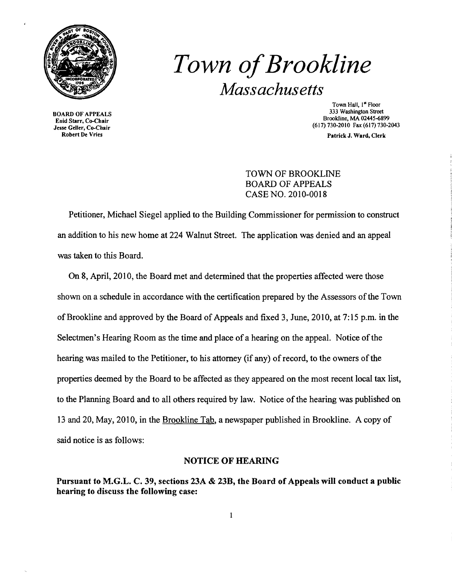

## *Town ofBrookline Massachusetts*

**BOARD OF APPEALS**<br>Enid Starr, Co-Chair Robert De Vries **Patrick J. Ward. Clerk** Patrick J. Ward. Clerk

Town Hall, 1<sup>st</sup> Floor<br>333 Washington Street Brookline, MA 02445-6899<br>
Enid Starr, Co-Chair<br>
Jesse Geller, Co-Chair<br>
(617) 730-2010 Fax (617) 730-2 (617) 730-2010 Fax (617) 730-2043

TOWN OF BROOKLINE BOARD OF APPEALS CASE NO. 2010-0018

Petitioner, Michael Siegel applied to the Building Commissioner for permission to construct an addition to his new home at 224 Walnut Street. The application was denied and an appeal was taken to this Board.

On 8, April, 2010, the Board met and determined that the properties affected were those shown on a schedule in accordance with the certification prepared by the Assessors of the Town of Brookline and approved by the Board of Appeals and fixed 3, June, 2010, at 7:15 p.m. in the Selectmen's Hearing Room as the time and place of a hearing on the appeal. Notice of the hearing was mailed to the Petitioner, to his attorney (if any) of record, to the owners of the properties deemed by the Board to be affected as they appeared on the most recent local tax list, to the Planning Board and to all others required by law. Notice of the hearing was published on 13 and 20, May, 2010, in the Brookline Tab, a newspaper published in Brookline. A copy of said notice is as follows:

## NOTICE OF HEARING

Pursuant to M.G.L. C. 39, sections 23A & 23B, the Board of Appeals will conduct a public hearing to discuss the following case: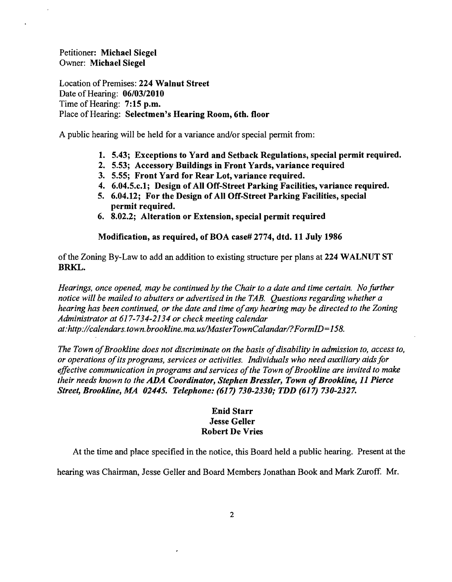Petitioner: Michael Siegel Owner: Michael Siegel

Location of Premises: 224 Walnut Street Date of Hearing: 06/03/2010 Time of Hearing: 7:15 p.m. Place of Hearing: Selectmen's Hearing Room, 6th. floor

A public hearing will be held for a variance and/or special permit from:

- 1. 5.43; Exceptions to Yard and Setback Regulations, special permit required.
- 2. 5.53; Accessory Buildings in Front Yards, variance required
- 3. 5.55; Front Yard for Rear Lot, variance required.
- 4. 6.04.5.c.l; Design of All Off-Street Parking Facilities, variance required.
- 5. 6.04.12; For the Design of All Off-Street Parking Facilities, special permit required.
- 6. 8.02.2; Alteration or Extension, special permit required

Modification, as required, of BOA case# 2774, dtd. 11 July 1986

of the Zoning By-Law to add an addition to existing structure per plans at 224 WALNUT ST BRKL.

*Hearings, once opened, may be continued by the Chair to a date and time certain. No further notice will be mailed to abutters or advertised in the TAB. Questions regarding whether a hearing has been continued, or the date and time ofany hearing may be directed to the Zoning Administrator at* 617-734-2134 *or check meeting calendar at:http://calendars.town.brookline.ma.usIMasterTownCalandarl?FormID=*J*58.* 

The Town of Brookline does not discriminate on the basis of disability in admission to, access to, *or operations ofits programs, services or activities. Individuals who need auxiliary aids for*  effective communication in programs and services of the Town of Brookline are invited to make *their needs known to the* ADA *Coordinator, Stephen Bressler, Town ofBrookline,* 11 *Pierce Street, Brookline, MA 02445. Telephone:* (617) *730-2330,. TDD* (617) *730-2327.* 

## Enid Starr Jesse Geller Robert De Vries

At the time and place specified in the notice, this Board held a public hearing. Present at the

hearing was Chairman, Jesse Geller and Board Members Jonathan Book and Mark Zuroff. Mr.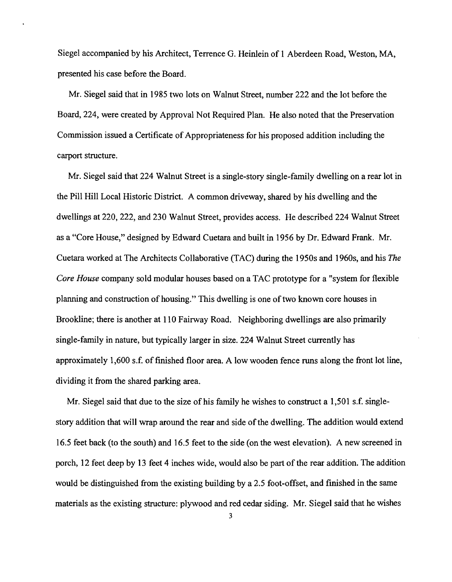Siegel accompanied by his Architect, Terrence G. Heinlein of 1 Aberdeen Road, Weston, MA, presented his case before the Board.

Mr. Siegel said that in 1985 two lots on Walnut Street, number 222 and the lot before the Board, 224, were created by Approval Not Required Plan. He also noted that the Preservation Commission issued a Certificate of Appropriateness for his proposed addition including the carport structure.

Mr. Siegel said that 224 Walnut Street is a single-story single-family dwelling on a rear lot in the Pill Hill Local Historic District. A common driveway, shared by his dwelling and the dwellings at 220,222, and 230 Walnut Street, provides access. He described 224 Walnut Street as a "Core House," designed by Edward Cuetara and built in 1956 by Dr. Edward Frank. Mr. Cuetara worked at The Architects Collaborative (TAC) during the 1950s and 1960s, and his *The Core House* company sold modular houses based on a TAC prototype for a "system for flexible planning and construction of housing." This dwelling is one of two known core houses in Brookline; there is another at 110 Fairway Road. Neighboring dwellings are also primarily single-family in nature, but typically larger in size. 224 Walnut Street currently has approximately 1,600 s.f. of finished floor area. A low wooden fence runs along the front lot line, dividing it from the shared parking area.

Mr. Siegel said that due to the size of his family he wishes to construct a 1,501 s.f. singlestory addition that will wrap around the rear and side of the dwelling. The addition would extend 16.5 feet back (to the south) and 16.5 feet to the side (on the west elevation). A new screened in porch, 12 feet deep by 13 feet 4 inches wide, would also be part of the rear addition. The addition would be distinguished from the existing building by a 2.5 foot-offset, and finished in the same materials as the existing structure: plywood and red cedar siding. Mr. Siegel said that he wishes

3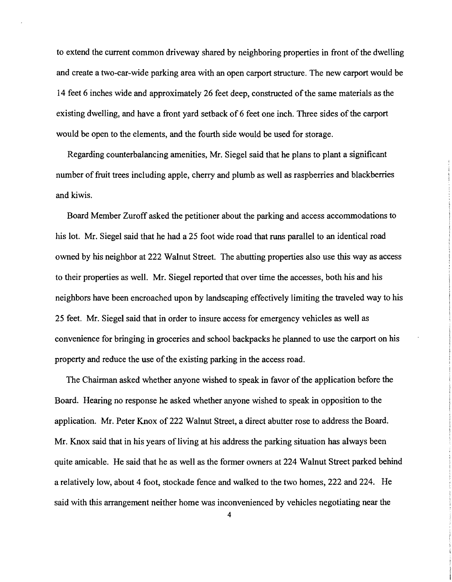to extend the current common driveway shared by neighboring properties in front of the dwelling and create a two-car-wide parking area with an open carport structure. The new carport would be 14 feet 6 inches wide and approximately 26 feet deep, constructed of the same materials as the existing dwelling, and have a front yard setback of 6 feet one inch. Three sides of the carport would be open to the elements, and the fourth side would be used for storage.

Regarding counterbalancing amenities, Mr. Siegel said that he plans to plant a significant number of fruit trees including apple, cherry and plumb as well as raspberries and blackberries and kiwis.

Board Member Zuroff asked the petitioner about the parking and access accommodations to his lot. Mr. Siegel said that he had a 25 foot wide road that runs parallel to an identical road owned by his neighbor at 222 Walnut Street. The abutting properties also use this way as access to their properties as well. Mr. Siegel reported that over time the accesses, both his and his neighbors have been encroached upon by landscaping effectively limiting the traveled way to his 25 feet. Mr. Siegel said that in order to insure access for emergency vehicles as well as convenience for bringing in groceries and school backpacks he planned to use the carport on his property and reduce the use of the existing parking in the access road.

The Chairman asked whether anyone wished to speak in favor of the application before the Board. Hearing no response he asked whether anyone wished to speak in opposition to the application. Mr. Peter Knox of 222 Walnut Street, a direct abutter rose to address the Board. Mr. Knox said that in his years of living at his address the parking situation has always been quite amicable. He said that he as well as the former owners at 224 Walnut Street parked behind a relatively low, about 4 foot, stockade fence and walked to the two homes, 222 and 224. He said with this arrangement neither home was inconvenienced by vehicles negotiating near the

4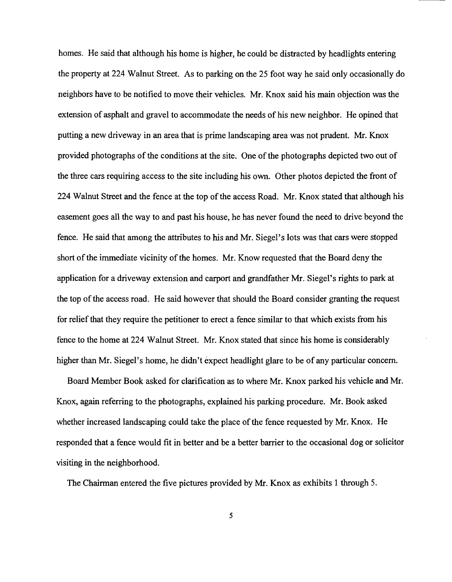homes. He said that although his home is higher, he could be distracted by headlights entering the property at 224 Walnut Street. As to parking on the 25 foot way he said only occasionally do neighbors have to be notified to move their vehicles. Mr. Knox said his main objection was the extension of asphalt and gravel to accommodate the needs of his new neighbor. He opined that putting a new driveway in an area that is prime landscaping area was not prudent. Mr. Knox provided photographs of the conditions at the site. One of the photographs depicted two out of the three cars requiring access to the site including his own. Other photos depicted the front of 224 Walnut Street and the fence at the top of the access Road. Mr. Knox stated that although his easement goes all the way to and past his house, he has never found the need to drive beyond the fence. He said that among the attributes to his and Mr. Siegel's lots was that cars were stopped short of the immediate vicinity of the homes. Mr. Know requested that the Board deny the application for a driveway extension and carport and grandfather Mr. Siegel's rights to park at the top of the access road. He said however that should the Board consider granting the request for relief that they require the petitioner to erect a fence similar to that which exists from his fence to the home at 224 Walnut Street. Mr. Knox stated that since his home is considerably higher than Mr. Siegel's home, he didn't expect headlight glare to be of any particular concern.

Board Member Book asked for clarification as to where Mr. Knox parked his vehicle and Mr. Knox, again referring to the photographs, explained his parking procedure. Mr. Book asked whether increased landscaping could take the place of the fence requested by Mr. Knox. He responded that a fence would fit in better and be a better barrier to the occasional dog or solicitor visiting in the neighborhood.

The Chairman entered the five pictures provided by Mr. Knox as exhibits 1 through 5.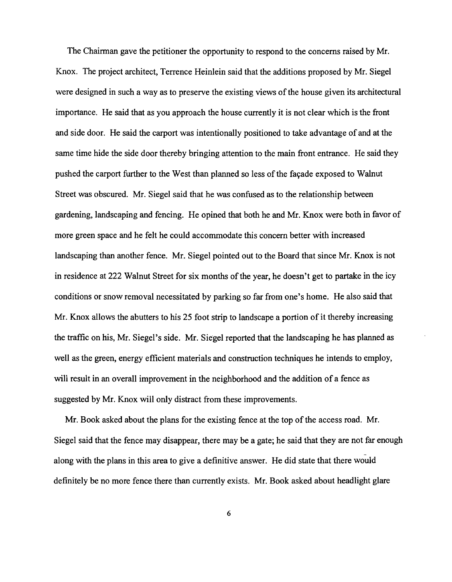The Chairman gave the petitioner the opportunity to respond to the concerns raised by Mr. Knox. The project architect, Terrence Heinlein said that the additions proposed by Mr. Siegel were designed in such a way as to preserve the existing views of the house given its architectural importance. He said that as you approach the house currently it is not clear which is the front and side door. He said the carport was intentionally positioned to take advantage of and at the same time hide the side door thereby bringing attention to the main front entrance. He said they pushed the carport further to the West than planned so less of the facade exposed to Walnut Street was obscured. Mr. Siegel said that he was confused as to the relationship between gardening, landscaping and fencing. He opined that both he and Mr. Knox were both in favor of more green space and he felt he could accommodate this concern better with increased landscaping than another fence. Mr. Siegel pointed out to the Board that since Mr. Knox is not in residence at 222 Walnut Street for six months of the year, he doesn't get to partake in the icy conditions or snow removal necessitated by parking so far from one's home. He also said that Mr. Knox allows the abutters to his 25 foot strip to landscape a portion of it thereby increasing the traffic on his, Mr. Siegel's side. Mr. Siegel reported that the landscaping he has planned as well as the green, energy efficient materials and construction techniques he intends to employ, will result in an overall improvement in the neighborhood and the addition of a fence as suggested by Mr. Knox will only distract from these improvements.

Mr. Book asked about the plans for the existing fence at the top of the access road. Mr. Siegel said that the fence may disappear, there may be a gate; he said that they are not far enough - along with the plans in this area to give a definitive answer. He did state that there would definitely be no more fence there than currently exists. Mr. Book asked about headlight glare

6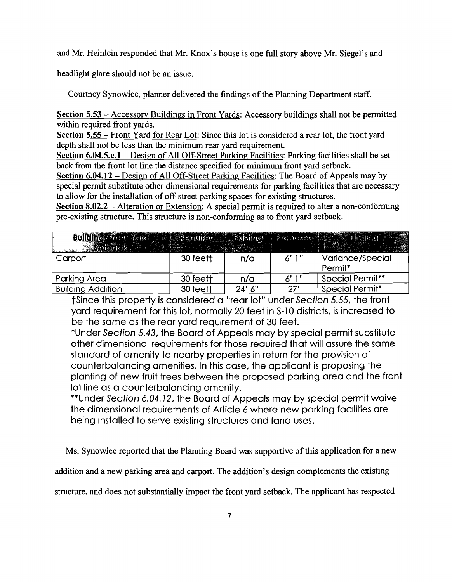and Mr. Heinlein responded that Mr. Knox's house is one full story above Mr. Siegel's and

headlight glare should not be an issue.

Courtney Synowiec, planner delivered the findings of the Planning Department staff.

Section 5.53 – Accessory Buildings in Front Yards: Accessory buildings shall not be permitted within required front yards.

Section 5.55 - Front Yard for Rear Lot: Since this lot is considered a rear lot, the front yard depth shall not be less than the minimum rear yard requirement.

Section 6.04.5.c.1 – Design of All Off-Street Parking Facilities: Parking facilities shall be set back from the front lot line the distance specified for minimum front yard setback.

Section 6.04.12 – Design of All Off-Street Parking Facilities: The Board of Appeals may by special permit substitute other dimensional requirements for parking facilities that are necessary to allow for the installation of off-street parking spaces for existing structures.

Section 8.02.2 – Alteration or Extension: A special permit is required to alter a non-conforming pre-existing structure. This structure is non-conforming as to front yard setback.

| <b>Building Architected</b> | <b>Maquied</b> | <b>BRASING</b> | $P$ (000) $326$ |                  |
|-----------------------------|----------------|----------------|-----------------|------------------|
| Carport                     | 30 feett       | n/a            | 6'1"            | Variance/Special |
|                             |                |                |                 | Permit*          |
| Parking Area                | 30 feett       | n/a            | 6' 1"           | Special Permit** |
| <b>Building Addition</b>    | 30 feett       | 24' 6''        | 27              | Special Permit*  |

tSince this property is considered a "rear lot" under Section 5.55, the front yard requirement for this lot, normally 20 feet in S-10 districts, is increased to be the same as the rear yard requirement of 30 feet.

\*Under Section 5.43, the Board of Appeals may by special permit substitute . . other dimensional requirements for those required that will assure the same standard of amenity to nearby properties in return for the provision of counterbalancing amenities. In this case, the applicant is proposing the planting of new fruit trees between the proposed parking area and the front lot line as a counterbalancing amenity.

\*\*Under Section 6.04.12, the Board of Appeals may by special permit waive the dimensional requirements of Article 6 where new parking facilities are being installed to serve existing structures and land uses.

Ms. Synowiec reported that the Planning Board was supportive of this application for a new

addition and a new parking area and carport. The addition's design complements the existing

structure, and does not substantially impact the front yard setback. The applicant has respected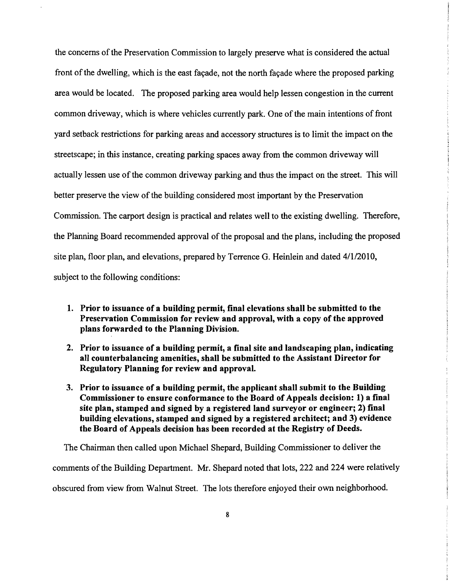the concerns of the Preservation Commission to largely preserve what is considered the actual front of the dwelling, which is the east façade, not the north façade where the proposed parking area would be located. The proposed parking area would help lessen congestion in the current common driveway, which is where vehicles currently park. One of the main intentions of front yard setback restrictions for parking areas and accessory structures is to limit the impact on the streetscape; in this instance, creating parking spaces away from the common driveway will actually lessen use of the common driveway parking and thus the impact on the street. This will better preserve the view of the building considered most important by the Preservation Commission. The carport design is practical and relates well to the existing dwelling. Therefore, the Planning Board recommended approval of the proposal and the plans, including the proposed site plan, floor plan, and elevations, prepared by Terrence G. Heinlein and dated 4/1/2010, subject to the following conditions:

- 1. Prior to issuance of a building permit, final elevations shall be submitted to the Preservation Commission for review and approval, with a copy of the approved plans forwarded to the Planning Division.
- 2. Prior to issuance of a building permit, a final site and landscaping plan, indicating all counterbalancing amenities, shall be submitted to the Assistant Director for Regulatory Planning for review and approval.
- 3. Prior to issuance of a building permit, the applicant shall submit to the Building Commissioner to ensure conformance to the Board of Appeals decision: 1) a final site plan, stamped and signed by a registered land surveyor or engineer; 2) final building elevations, stamped and signed by a registered architect; and 3) evidence the Board of Appeals decision has been recorded at the Registry of Deeds.

The Chairman then called upon Michael Shepard, Building Commissioner to deliver the comments of the Building Department. Mr. Shepard noted that lots, 222 and 224 were relatively obscured from view from Walnut Street. The lots therefore enjoyed their own neighborhood.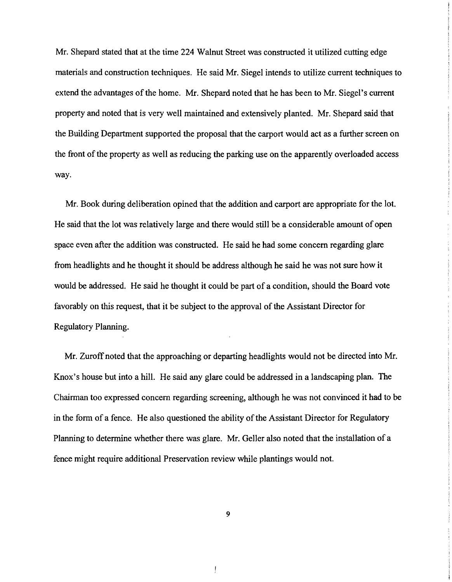Mr. Shepard stated that at the time 224 Walnut Street was constructed it utilized cutting edge materials and construction techniques. He said Mr. Siegel intends to utilize current techniques to extend the advantages of the home. Mr. Shepard noted that he has been to Mr. Siegel's current property and noted that is very well maintained and extensively planted. Mr. Shepard said that the Building Department supported the proposal that the carport would act as a further screen on the front of the property as well as reducing the parking use on the apparently overloaded access way.

Mr. Book during deliberation opined that the addition and carport are appropriate for the lot. He said that the lot was relatively large and there would still be a considerable amount of open space even after the addition was constructed. He said he had some concern regarding glare from headlights and he thought it should be address although he said he was not sure how it would be addressed. He said he thought it could be part of a condition, should the Board vote favorably on this request, that it be subject to the approval of the Assistant Director for Regulatory Planning.

Mr. Zuroff noted that the approaching or departing headlights would not be directed into Mr. Knox's house but into a hill. He said any glare could be addressed in a landscaping plan. The Chairman too expressed concern regarding screening, although he was not convinced it had to be in the form of a fence. He also questioned the ability of the Assistant Director for Regulatory Planning to determine whether there was glare. Mr. Geller also noted that the installation of a fence might require additional Preservation review while plantings would not.

9

 $\frac{1}{2}$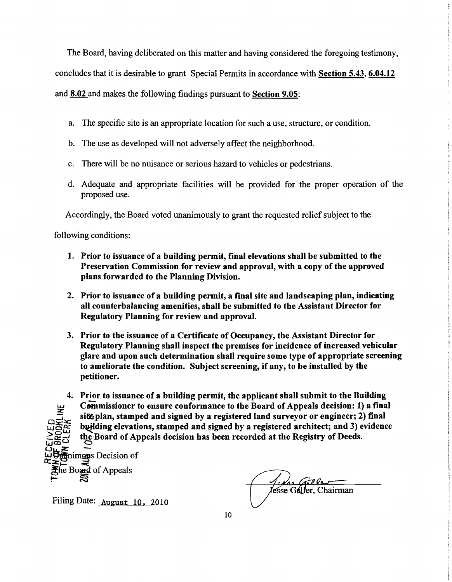The Board, having deliberated on this matter and having considered the foregoing testimony, concludes that it is desirable to grant Special Permits in accordance with Section 5.43, 6.04.12 and 8.02 and makes the following findings pursuant to Section 9.05:

- a. The specific site is an appropriate location for such a use, structure, or condition.
- b. The use as developed will not adversely affect the neighborhood.
- c. There will be no nuisance or serious hazard to vehicles or pedestrians.
- d. Adequate and appropriate facilities will be provided for the proper operation of the proposed use.

Accordingly, the Board voted unanimously to grant the requested relief subject to the

following conditions:

- 1. Prior to issuance of a building permit, final elevations shall be submitted to the Preservation Commission for review and approval, with a copy of the approved plans forwarded to the Planning Division.
- 2. Prior to issuance of a building permit, a final site and landscaping plan, indicating all counterbalancing amenities, shall be submitted to the Assistant Director for Regulatory Planning for review and approval.
- 3. Prior to the issuance of a Certificate of Occupancy, the Assistant Director for Regulatory Planning shall inspect the premises for incidence of increased vehicular glare and upon such determination shall require some type of appropriate screening to ameliorate the condition. Subject screening, if any, to be installed by the petitioner.
- 4. Prior to issuance of a building permit, the applicant shall submit to the Building Commissioner to ensure conformance to the Board of Appeals decision: 1) a final sit& plan, stamped and signed by a registered land surveyor or engineer; 2) final building elevations, stamped and signed by a registered architect; and 3) evidence  $\geq$  $\geq$  $\approx$  the Board of Appeals decision has been recorded at the Registry of Deeds. nimgges Decision of

 $\mathbb{Z}$   $\cong$   $\mathbb{Z}$  of Appeals  $\breve{r}$ 

Jesse Geller, Chairman

Filing Date: August 10. 2010